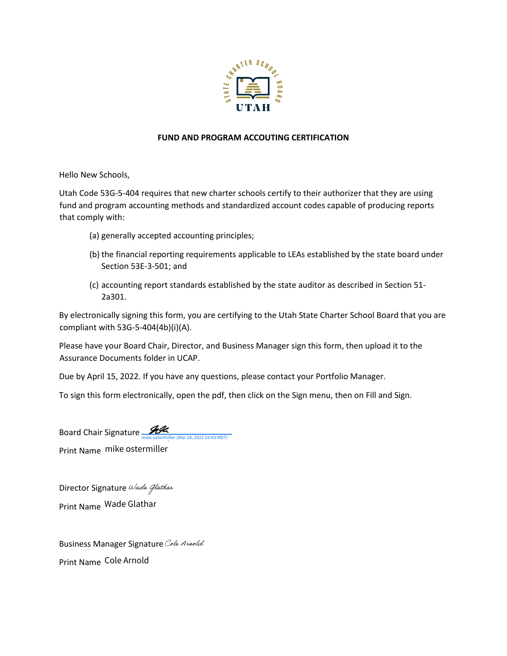

## **FUND AND PROGRAM ACCOUTING CERTIFICATION**

Hello New Schools,

Utah Code 53G-5-404 requires that new charter schools certify to their authorizer that they are using fund and program accounting methods and standardized account codes capable of producing reports that comply with:

- (a) generally accepted accounting principles;
- (b) the financial reporting requirements applicable to LEAs established by the state board under Section 53E-3-501; and
- (c) accounting report standards established by the state auditor as described in Section 51- 2a301.

By electronically signing this form, you are certifying to the Utah State Charter School Board that you are compliant with 53G-5-404(4b)(i)(A).

Please have your Board Chair, Director, and Business Manager sign this form, then upload it to the Assurance Documents folder in UCAP.

Due by April 15, 2022. If you have any questions, please contact your Portfolio Manager.

To sign this form electronically, open the pdf, then click on the Sign menu, then on Fill and Sign.

Board Chair Signature Mexiconter (Mar 18, 2022 10:43 MDT) Print Name

DirectorSignature Wade Glathar Print Name

**BusinessManager Signature** Cole Annold Print Name Cole Arnold Mar 18, 2022 10:43 MDT)<br>Cole Arnoldmike ostermiller<br>Nature *Wade Glathar*<br>Wade Glathar<br>Inager Signature *Cole Arnold*<br>Cole Arnold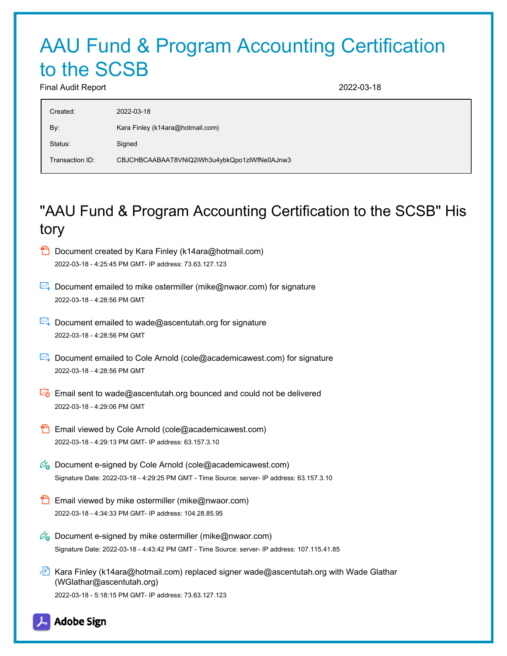## AAU Fund & Program Accounting Certification to the SCSB

Final Audit Report 2022-03-18

| Created:        | 2022-03-18                                   |
|-----------------|----------------------------------------------|
| By:             | Kara Finley (k14ara@hotmail.com)             |
| Status:         | Signed                                       |
| Transaction ID: | CBJCHBCAABAAT8VNiQ2iWh3u4ybkQpo1zlWfNe0AJnw3 |

## "AAU Fund & Program Accounting Certification to the SCSB" His tory

- Document created by Kara Finley (k14ara@hotmail.com) 2022-03-18 - 4:25:45 PM GMT- IP address: 73.63.127.123
- Document emailed to mike ostermiller (mike@nwaor.com) for signature 2022-03-18 - 4:28:56 PM GMT
- Document emailed to wade@ascentutah.org for signature 2022-03-18 - 4:28:56 PM GMT
- $\boxtimes$  Document emailed to Cole Arnold (cole@academicawest.com) for signature 2022-03-18 - 4:28:56 PM GMT
- Email sent to wade@ascentutah.org bounced and could not be delivered 2022-03-18 - 4:29:06 PM GMT
- Email viewed by Cole Arnold (cole@academicawest.com) 2022-03-18 - 4:29:13 PM GMT- IP address: 63.157.3.10
- $\mathscr{O}_\bullet$  Document e-signed by Cole Arnold (cole@academicawest.com) Signature Date: 2022-03-18 - 4:29:25 PM GMT - Time Source: server- IP address: 63.157.3.10
- **Email viewed by mike ostermiller (mike@nwaor.com)** 2022-03-18 - 4:34:33 PM GMT- IP address: 104.28.85.95
- $\mathscr{O}_\bullet$  Document e-signed by mike ostermiller (mike@nwaor.com) Signature Date: 2022-03-18 - 4:43:42 PM GMT - Time Source: server- IP address: 107.115.41.85
- Kara Finley (k14ara@hotmail.com) replaced signer wade@ascentutah.org with Wade Glathar (WGlathar@ascentutah.org) 2022-03-18 - 5:18:15 PM GMT- IP address: 73.63.127.123

**Adobe Sign**